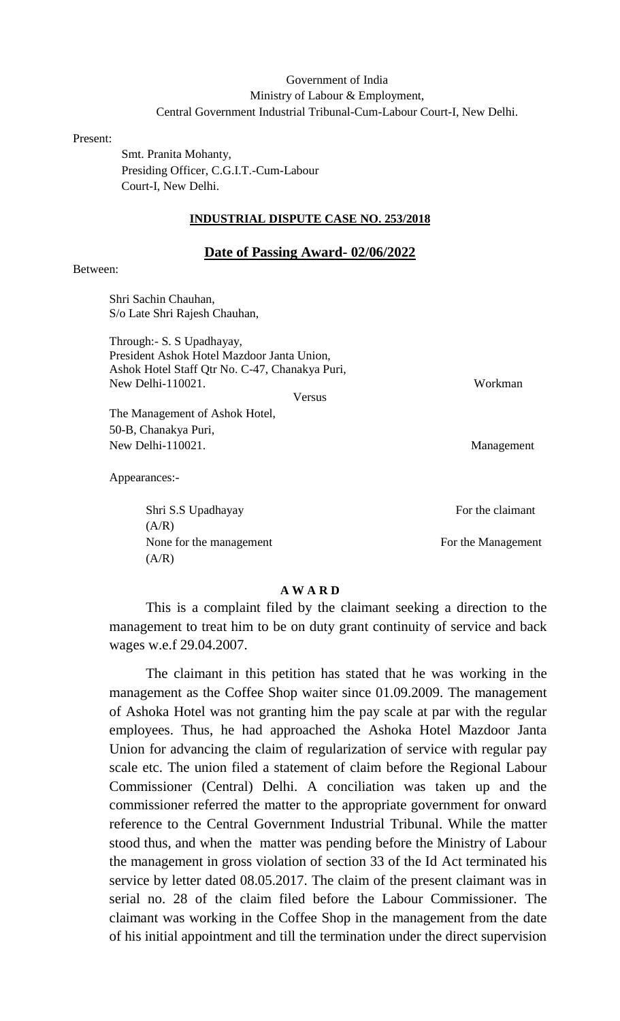## Government of India Ministry of Labour & Employment, Central Government Industrial Tribunal-Cum-Labour Court-I, New Delhi.

Present:

 Smt. Pranita Mohanty, Presiding Officer, C.G.I.T.-Cum-Labour Court-I, New Delhi.

### **INDUSTRIAL DISPUTE CASE NO. 253/2018**

#### **Date of Passing Award- 02/06/2022**

## Between:

Shri Sachin Chauhan, S/o Late Shri Rajesh Chauhan,

Through:- S. S Upadhayay, President Ashok Hotel Mazdoor Janta Union, Ashok Hotel Staff Qtr No. C-47, Chanakya Puri, New Delhi-110021. Workman

Versus

The Management of Ashok Hotel, 50-B, Chanakya Puri, New Delhi-110021. Management

Appearances:-

Shri S.S Upadhayay For the claimant  $(A/R)$ None for the management For the Management  $(A/R)$ 

**A W A R D**

This is a complaint filed by the claimant seeking a direction to the management to treat him to be on duty grant continuity of service and back wages w.e.f 29.04.2007.

The claimant in this petition has stated that he was working in the management as the Coffee Shop waiter since 01.09.2009. The management of Ashoka Hotel was not granting him the pay scale at par with the regular employees. Thus, he had approached the Ashoka Hotel Mazdoor Janta Union for advancing the claim of regularization of service with regular pay scale etc. The union filed a statement of claim before the Regional Labour Commissioner (Central) Delhi. A conciliation was taken up and the commissioner referred the matter to the appropriate government for onward reference to the Central Government Industrial Tribunal. While the matter stood thus, and when the matter was pending before the Ministry of Labour the management in gross violation of section 33 of the Id Act terminated his service by letter dated 08.05.2017. The claim of the present claimant was in serial no. 28 of the claim filed before the Labour Commissioner. The claimant was working in the Coffee Shop in the management from the date of his initial appointment and till the termination under the direct supervision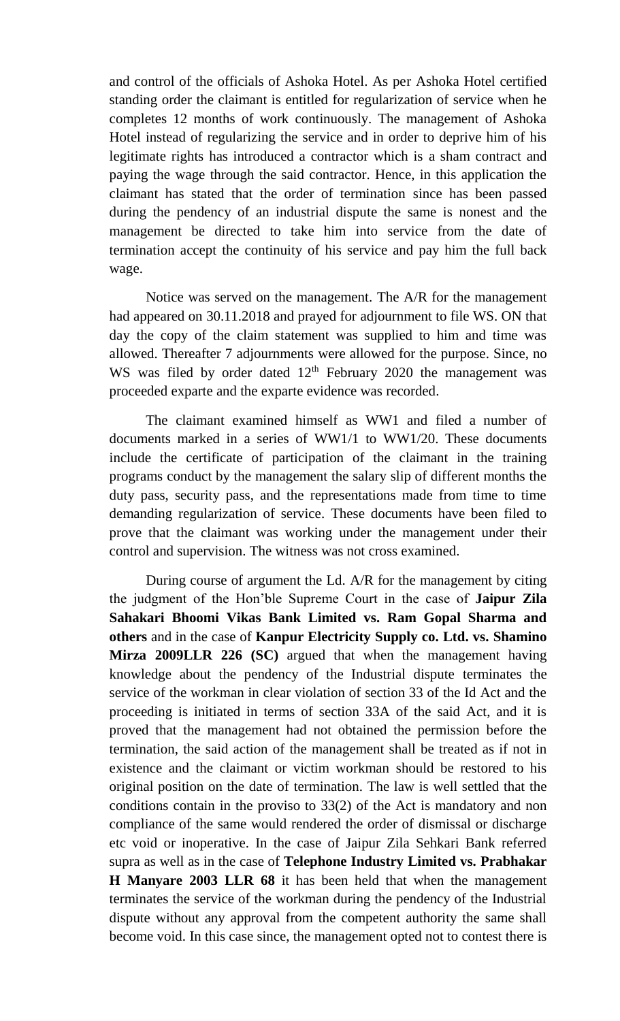and control of the officials of Ashoka Hotel. As per Ashoka Hotel certified standing order the claimant is entitled for regularization of service when he completes 12 months of work continuously. The management of Ashoka Hotel instead of regularizing the service and in order to deprive him of his legitimate rights has introduced a contractor which is a sham contract and paying the wage through the said contractor. Hence, in this application the claimant has stated that the order of termination since has been passed during the pendency of an industrial dispute the same is nonest and the management be directed to take him into service from the date of termination accept the continuity of his service and pay him the full back wage.

Notice was served on the management. The A/R for the management had appeared on 30.11.2018 and prayed for adjournment to file WS. ON that day the copy of the claim statement was supplied to him and time was allowed. Thereafter 7 adjournments were allowed for the purpose. Since, no WS was filed by order dated  $12<sup>th</sup>$  February 2020 the management was proceeded exparte and the exparte evidence was recorded.

The claimant examined himself as WW1 and filed a number of documents marked in a series of WW1/1 to WW1/20. These documents include the certificate of participation of the claimant in the training programs conduct by the management the salary slip of different months the duty pass, security pass, and the representations made from time to time demanding regularization of service. These documents have been filed to prove that the claimant was working under the management under their control and supervision. The witness was not cross examined.

During course of argument the Ld. A/R for the management by citing the judgment of the Hon'ble Supreme Court in the case of **Jaipur Zila Sahakari Bhoomi Vikas Bank Limited vs. Ram Gopal Sharma and others** and in the case of **Kanpur Electricity Supply co. Ltd. vs. Shamino Mirza 2009LLR 226 (SC)** argued that when the management having knowledge about the pendency of the Industrial dispute terminates the service of the workman in clear violation of section 33 of the Id Act and the proceeding is initiated in terms of section 33A of the said Act, and it is proved that the management had not obtained the permission before the termination, the said action of the management shall be treated as if not in existence and the claimant or victim workman should be restored to his original position on the date of termination. The law is well settled that the conditions contain in the proviso to 33(2) of the Act is mandatory and non compliance of the same would rendered the order of dismissal or discharge etc void or inoperative. In the case of Jaipur Zila Sehkari Bank referred supra as well as in the case of **Telephone Industry Limited vs. Prabhakar H Manyare 2003 LLR 68** it has been held that when the management terminates the service of the workman during the pendency of the Industrial dispute without any approval from the competent authority the same shall become void. In this case since, the management opted not to contest there is